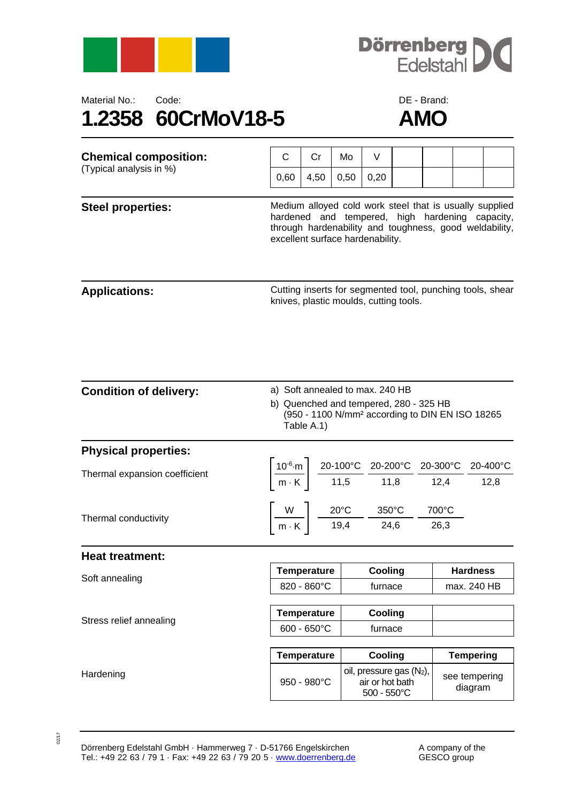





| <b>Chemical composition:</b>  | C                                                                                                                                                                                                        | Cr                                                                             | Mo   | V                                                         |  |                                                                                                                                                                                               |                                |                                                           |  |
|-------------------------------|----------------------------------------------------------------------------------------------------------------------------------------------------------------------------------------------------------|--------------------------------------------------------------------------------|------|-----------------------------------------------------------|--|-----------------------------------------------------------------------------------------------------------------------------------------------------------------------------------------------|--------------------------------|-----------------------------------------------------------|--|
| (Typical analysis in %)       | 0,60                                                                                                                                                                                                     | 4,50                                                                           | 0,50 | 0,20                                                      |  |                                                                                                                                                                                               |                                |                                                           |  |
| <b>Steel properties:</b>      | Medium alloyed cold work steel that is usually supplied<br>hardened and tempered, high hardening capacity,<br>through hardenability and toughness, good weldability,<br>excellent surface hardenability. |                                                                                |      |                                                           |  |                                                                                                                                                                                               |                                |                                                           |  |
| <b>Applications:</b>          |                                                                                                                                                                                                          |                                                                                |      | knives, plastic moulds, cutting tools.                    |  |                                                                                                                                                                                               |                                | Cutting inserts for segmented tool, punching tools, shear |  |
| <b>Condition of delivery:</b> | a) Soft annealed to max. 240 HB<br>b) Quenched and tempered, 280 - 325 HB<br>(950 - 1100 N/mm <sup>2</sup> according to DIN EN ISO 18265<br>Table A.1)                                                   |                                                                                |      |                                                           |  |                                                                                                                                                                                               |                                |                                                           |  |
| <b>Physical properties:</b>   |                                                                                                                                                                                                          |                                                                                |      |                                                           |  |                                                                                                                                                                                               |                                |                                                           |  |
| Thermal expansion coefficient |                                                                                                                                                                                                          |                                                                                |      |                                                           |  | $\left \frac{10^{-6}\text{·m}}{\text{m} \cdot \text{K}}\right  \frac{20 \cdot 100^{\circ}\text{C}}{11,5} \frac{20 \cdot 200^{\circ}\text{C}}{11,8} \frac{20 \cdot 300^{\circ}\text{C}}{12,4}$ |                                | 20-400°C<br>12,8                                          |  |
| Thermal conductivity          |                                                                                                                                                                                                          | $\frac{W}{m \cdot K}$ $\frac{20^{\circ}C}{19,4}$ $\frac{350^{\circ}C}{24,6}$ - |      |                                                           |  | 700°C<br>26,3                                                                                                                                                                                 |                                |                                                           |  |
| <b>Heat treatment:</b>        |                                                                                                                                                                                                          |                                                                                |      |                                                           |  |                                                                                                                                                                                               |                                |                                                           |  |
| Soft annealing                | <b>Temperature</b><br>820 - 860°C                                                                                                                                                                        |                                                                                |      | Cooling<br>furnace                                        |  |                                                                                                                                                                                               | <b>Hardness</b><br>max. 240 HB |                                                           |  |
| Stress relief annealing       | <b>Temperature</b><br>$600 - 650^{\circ}C$                                                                                                                                                               |                                                                                |      | Cooling<br>furnace                                        |  |                                                                                                                                                                                               |                                |                                                           |  |
|                               | <b>Temperature</b>                                                                                                                                                                                       |                                                                                |      | Cooling                                                   |  |                                                                                                                                                                                               | <b>Tempering</b>               |                                                           |  |
| Hardening                     | 950 - 980°C                                                                                                                                                                                              |                                                                                |      | oil, pressure gas (N2),<br>air or hot bath<br>500 - 550°C |  |                                                                                                                                                                                               | see tempering<br>diagram       |                                                           |  |